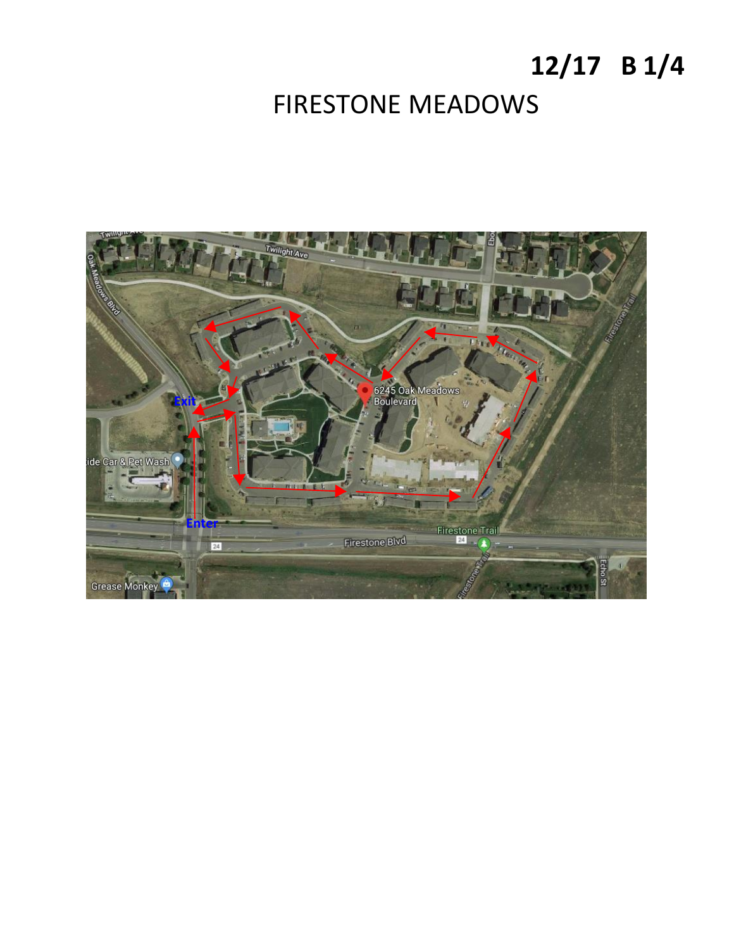# **12/17 B 1/4** FIRESTONE MEADOWS

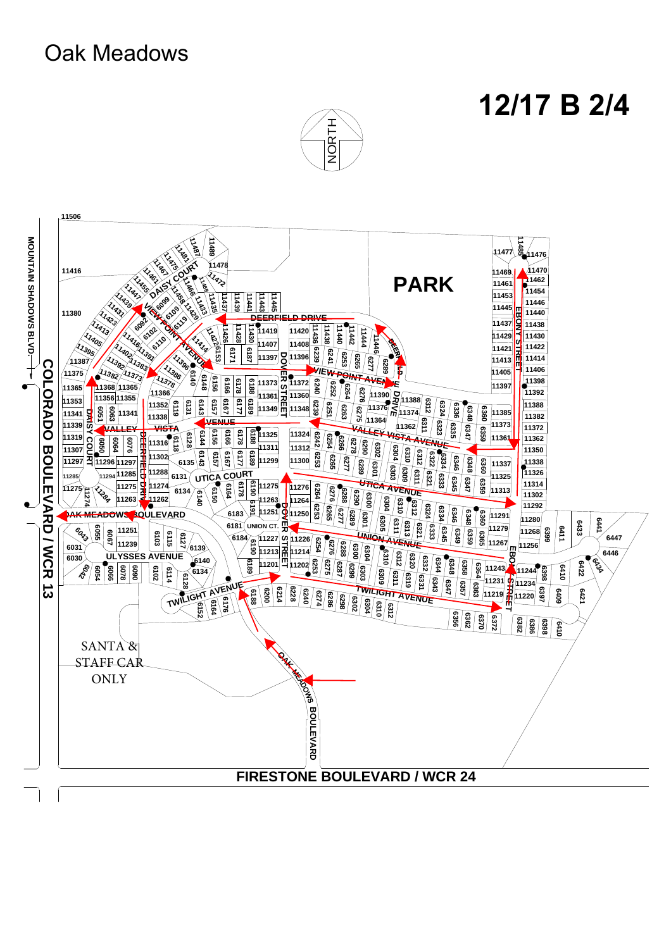### Oak Meadows

## **12/17 B 2/4**



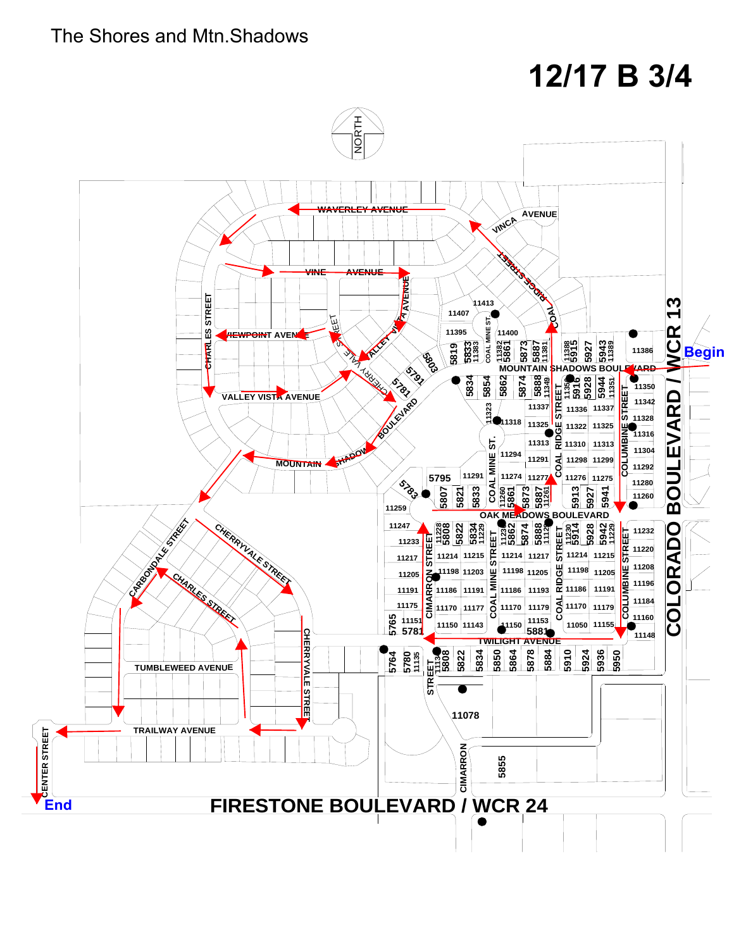#### The Shores and Mtn.Shadows

# **12/17 B 3/4**